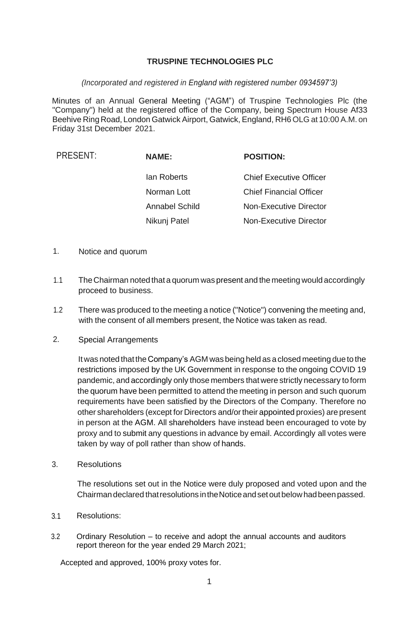## **TRUSPINE TECHNOLOGIES PLC**

## *(Incorporated and registered in England with registered number 0934597'3)*

Minutes of an Annual General Meeting ("AGM") of Truspine Technologies Plc (the "Company") held at the registered office of the Company, being Spectrum House Af33 Beehive RingRoad, London Gatwick Airport, Gatwick, England, RH6OLG at 10:00 A.M. on Friday 31st December 2021.

| PRESENT: | <b>NAME:</b>          | <b>POSITION:</b>               |
|----------|-----------------------|--------------------------------|
|          | lan Roberts           | <b>Chief Executive Officer</b> |
|          | Norman Lott           | <b>Chief Financial Officer</b> |
|          | <b>Annabel Schild</b> | Non-Executive Director         |
|          | Nikunj Patel          | <b>Non-Executive Director</b>  |
|          |                       |                                |

- 1. Notice and quorum
- 1.1 TheChairman noted that a quorum was present and the meeting would accordingly proceed to business.
- 1.2 There was produced to the meeting a notice ("Notice") convening the meeting and, with the consent of all members present, the Notice was taken as read.
- 2. Special Arrangements

It was noted that theCompany's AGM was being held as a closed meeting due to the restrictions imposed by the UK Government in response to the ongoing COVID 19 pandemic, and accordingly only those members that were strictly necessary to form the quorum have been permitted to attend the meeting in person and such quorum requirements have been satisfied by the Directors of the Company. Therefore no other shareholders (except for Directors and/ortheir appointed proxies) are present in person at the AGM. All shareholders have instead been encouraged to vote by proxy and to submit any questions in advance by email. Accordingly all votes were taken by way of poll rather than show of hands.

3. Resolutions

The resolutions set out in the Notice were duly proposed and voted upon and the Chairmandeclared thatresolutions intheNoticeandsetoutbelowhadbeenpassed.

- 3.1 Resolutions:
- 3.2 Ordinary Resolution to receive and adopt the annual accounts and auditors report thereon for the year ended 29 March 2021;

Accepted and approved, 100% proxy votes for.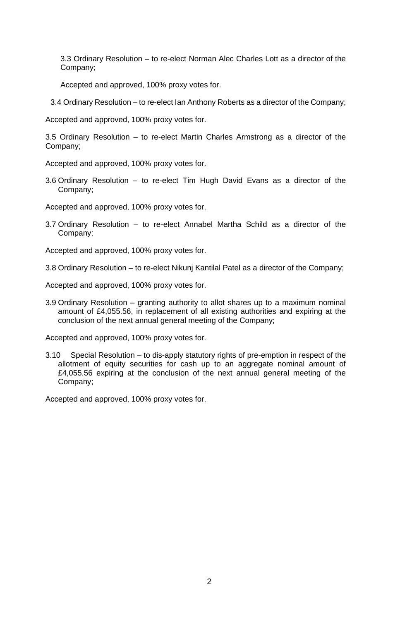3.3 Ordinary Resolution – to re-elect Norman Alec Charles Lott as a director of the Company;

Accepted and approved, 100% proxy votes for.

3.4 Ordinary Resolution – to re-elect Ian Anthony Roberts as a director of the Company;

Accepted and approved, 100% proxy votes for.

3.5 Ordinary Resolution – to re-elect Martin Charles Armstrong as a director of the Company;

Accepted and approved, 100% proxy votes for.

3.6 Ordinary Resolution – to re-elect Tim Hugh David Evans as a director of the Company;

Accepted and approved, 100% proxy votes for.

3.7 Ordinary Resolution – to re-elect Annabel Martha Schild as a director of the Company:

Accepted and approved, 100% proxy votes for.

3.8 Ordinary Resolution – to re-elect Nikunj Kantilal Patel as a director of the Company;

Accepted and approved, 100% proxy votes for.

3.9 Ordinary Resolution – granting authority to allot shares up to a maximum nominal amount of £4,055.56, in replacement of all existing authorities and expiring at the conclusion of the next annual general meeting of the Company;

Accepted and approved, 100% proxy votes for.

3.10 Special Resolution – to dis-apply statutory rights of pre-emption in respect of the allotment of equity securities for cash up to an aggregate nominal amount of £4,055.56 expiring at the conclusion of the next annual general meeting of the Company;

Accepted and approved, 100% proxy votes for.